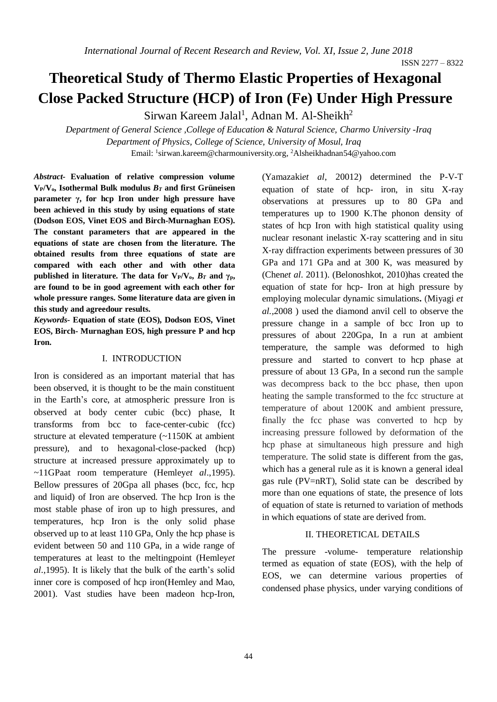# **Theoretical Study of Thermo Elastic Properties of Hexagonal Close Packed Structure (HCP) of Iron (Fe) Under High Pressure**

Sirwan Kareem Jalal<sup>1</sup>, Adnan M. Al-Sheikh<sup>2</sup>

*Department of General Science ,College of Education & Natural Science, Charmo University -Iraq Department of Physics, College of Science, University of Mosul, Iraq* Email: <sup>1</sup>[sirwan.kareem@charmouniversity.org,](mailto:sirwan.kareem@charmouniversity.org) <sup>2</sup>Alsheikhadnan54@yahoo.com

*Abstract-* **Evaluation of relative compression volume**  $V_P/V_o$ . Isothermal Bulk modulus  $B_T$  and first Grüneisen **parameter γ, for hcp Iron under high pressure have been achieved in this study by using equations of state (Dodson EOS, Vinet EOS and Birch-Murnaghan EOS). The constant parameters that are appeared in the equations of state are chosen from the literature. The obtained results from three equations of state are compared with each other and with other data published in literature. The data for**  $V_P/V_o$ **,**  $B_T$  **and**  $\gamma_p$ **, are found to be in good agreement with each other for whole pressure ranges. Some literature data are given in this study and agreedour results.** 

*Keywords-* **Equation of state (EOS), Dodson EOS, Vinet EOS, Birch- Murnaghan EOS, high pressure P and hcp Iron.**

#### I. INTRODUCTION

Iron is considered as an important material that has been observed, it is thought to be the main constituent in the Earth's core, at atmospheric pressure Iron is observed at body center cubic (bcc) phase, It transforms from bcc to face-center-cubic (fcc) structure at elevated temperature (~1150K at ambient pressure), and to hexagonal-close-packed (hcp) structure at increased pressure approximately up to ~11GPaat room temperature (Hemley*et al*.,1995). Bellow pressures of 20Gpa all phases (bcc, fcc, hcp and liquid) of Iron are observed. The hcp Iron is the most stable phase of iron up to high pressures, and temperatures, hcp Iron is the only solid phase observed up to at least 110 GPa, Only the hcp phase is evident between 50 and 110 GPa, in a wide range of temperatures at least to the meltingpoint (Hemley*et al*.,1995). It is likely that the bulk of the earth's solid inner core is composed of hcp iron(Hemley and Mao, 2001). Vast studies have been madeon hcp-Iron,

(Yamazaki*et al*, 20012) determined the P-V-T equation of state of hcp- iron, in situ X-ray observations at pressures up to 80 GPa and temperatures up to 1900 K.The phonon density of states of hcp Iron with high statistical quality using nuclear resonant inelastic X‐ray scattering and in situ X‐ray diffraction experiments between pressures of 30 GPa and 171 GPa and at 300 K, was measured by (Chen*et al*. 2011). (Belonoshkot, 2010)has created the equation of state for hcp- Iron at high pressure by employing molecular dynamic simulations**.** (Miyagi *et al.,*2008 ) used the diamond anvil cell to observe the pressure change in a sample of bcc Iron up to pressures of about 220Gpa, In a run at ambient temperature, the sample was deformed to high pressure and started to convert to hcp phase at pressure of about 13 GPa, In a second run the sample was decompress back to the bcc phase, then upon heating the sample transformed to the fcc structure at temperature of about 1200K and ambient pressure, finally the fcc phase was converted to hcp by increasing pressure followed by deformation of the hcp phase at simultaneous high pressure and high temperature. The solid state is different from the gas, which has a general rule as it is known a general ideal gas rule (PV=nRT), Solid state can be described by more than one equations of state, the presence of lots of equation of state is returned to variation of methods in which equations of state are derived from.

# II. THEORETICAL DETAILS

The pressure -volume- temperature relationship termed as equation of state (EOS), with the help of EOS, we can determine various properties of condensed phase physics, under varying conditions of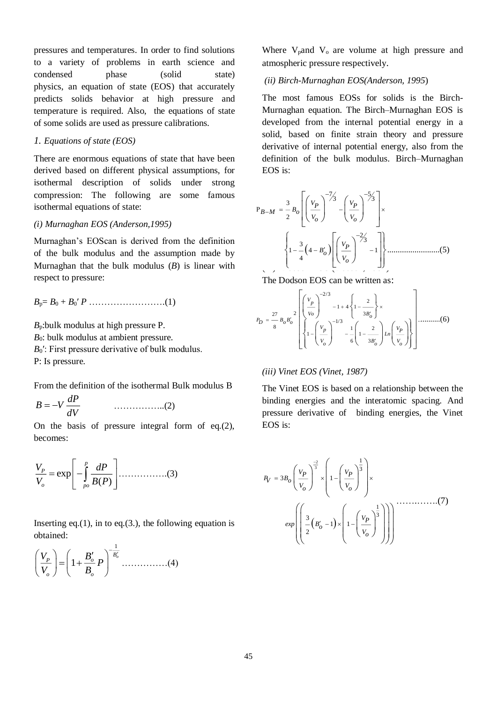pressures and temperatures. In order to find solutions to a variety of problems in earth science and condensed phase (solid state) physics, an equation of state (EOS) that accurately predicts solids behavior at high pressure and temperature is required. Also, the equations of state of some solids are used as pressure calibrations.

# *1. Equations of state (EOS)*

There are enormous equations of state that have been derived based on different physical assumptions, for isothermal description of solids under strong compression: The following are some famous isothermal equations of state:

## *(i) Murnaghan EOS (Anderson,1995)*

Murnaghan's EOScan is derived from the definition of the bulk modulus and the assumption made by Murnaghan that the bulk modulus (*B*) is linear with respect to pressure:

*B*p= *B*<sup>0</sup> + *B*0′ *P* …………………….(1)

*B*p:bulk modulus at high pressure P. *B*<sub>0</sub>: bulk modulus at ambient pressure. *B*<sub>0</sub>′: First pressure derivative of bulk modulus. P: Is pressure.

From the definition of the isothermal Bulk modulus B

*dP B V dV* ……………..(2)

On the basis of pressure integral form of eq.(2), becomes:

$$
\frac{V_P}{V_o} = \exp\left[-\int_{P^o}^P \frac{dP}{B(P)}\right] \dots \dots \dots \dots \dots \dots (3)
$$

Inserting eq.(1), in to eq.(3.), the following equation is obtained:

#### 1  $\left[\frac{P}{P}\right] = \left(1 + \frac{B_o'}{P}\right)^{B_o'}$ *o o*  $\left[\frac{V_P}{H}\right] = \left(1 + \frac{B_o'}{P}\right)P$ *V B*  $(V_n)$   $\left( \begin{array}{cc} B' \end{array} \right)^{-\overline{B'_c}}$  $\left| \frac{P}{V} \right| = \left| 1 + \frac{B_0}{R} P \right|$  $(V_o)$   $(B_o)$ ……………(4)

Where  $V_{\text{p}}$  and  $V_{\text{o}}$  are volume at high pressure and atmospheric pressure respectively.

# *(ii) Birch-Murnaghan EOS(Anderson, 1995*)

The most famous EOSs for solids is the Birch-Murnaghan equation. The Birch–Murnaghan EOS is developed from the internal potential energy in a solid, based on finite strain theory and pressure derivative of internal potential energy, also from the definition of the bulk modulus. Birch–Murnaghan EOS is:

…………… (5) (iii)- Dodson EOS (Dodson, 1987) 7 5 <sup>3</sup> <sup>3</sup> <sup>3</sup> 2 2 3 3 1 4 1 4 .........................(5) *<sup>V</sup> <sup>V</sup> <sup>P</sup> <sup>P</sup> <sup>B</sup> <sup>B</sup> <sup>M</sup> <sup>o</sup> <sup>V</sup> <sup>V</sup> <sup>o</sup> <sup>o</sup> VP Bo Vo* 

The Dodson EOS can be written as:

$$
P_D = \frac{27}{8} B_o B_o' \left\{ \left( \frac{V_p}{V_o} \right)^{-2/3} - 1 + 4 \left\{ 1 - \frac{2}{3B_o'} \right\} \times \left\{ 1 - \left( \frac{V_p}{V_o} \right)^{-1/3} - \frac{1}{6} \left( 1 - \frac{2}{3B_o'} \right) \ln \left( \frac{V_p}{V_o} \right) \right\} \right\} \dots \dots \dots \dots (6)
$$

#### *(iii) Vinet EOS (Vinet, 1987)*

The Vinet EOS is based on a relationship between the binding energies and the interatomic spacing. And pressure derivative of binding energies, the Vinet EOS is:

$$
P_V = 3B_o \left(\frac{V_P}{V_o}\right)^{\frac{2}{3}} \times \left(1 - \left(\frac{V_P}{V_o}\right)^{\frac{1}{3}}\right) \times
$$
  

$$
exp\left(\left(\frac{3}{2}(B'_o - 1) \times \left(1 - \left(\frac{V_P}{V_o}\right)^{\frac{1}{3}}\right)\right)\right)
$$
........(7)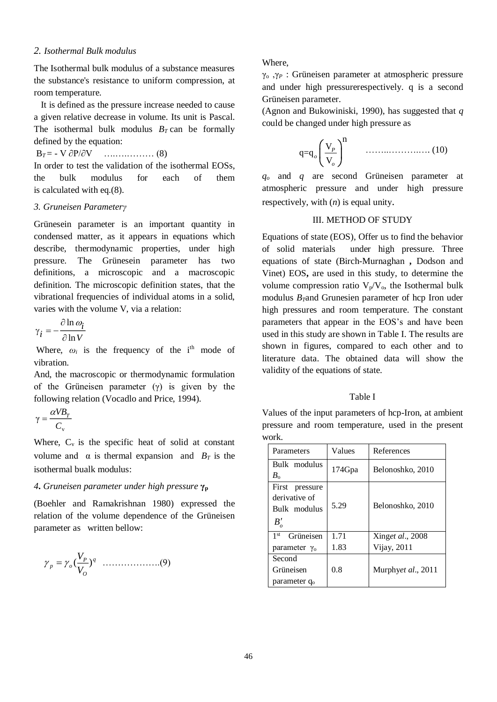# *2. Isothermal Bulk modulus*

The Isothermal bulk modulus of a substance measures the substance's resistance to uniform compression, at room temperature.

 It is defined as the pressure increase needed to cause a given relative decrease in volume. Its unit is Pascal. The isothermal bulk modulus  $B_T$  can be formally defined by the equation:

# B*T* = - V ∂P/∂V ….….……… (8)

In order to test the validation of the isothermal EOSs, the bulk modulus for each of them is calculated with eq.(8).

## *3. Gruneisen Parameterγ*

Grünesein parameter is an important quantity in condensed matter, as it appears in equations which describe, thermodynamic properties, under high pressure. The Grünesein parameter has two definitions, a microscopic and a macroscopic definition. The microscopic definition states, that the vibrational frequencies of individual atoms in a solid, varies with the volume V, via a relation:

$$
\gamma_i = -\frac{\partial \ln \omega_i}{\partial \ln V}
$$

Where,  $\omega_i$  is the frequency of the i<sup>th</sup> mode of vibration.

And, the macroscopic or thermodynamic formulation of the Grüneisen parameter  $(y)$  is given by the following relation (Vocadlo and Price, 1994).

$$
\gamma = \frac{\alpha V B_T}{C_v}
$$

Where,  $C_v$  is the specific heat of solid at constant volume and  $\alpha$  is thermal expansion and  $B_T$  is the isothermal bualk modulus:

#### *4***.** *Gruneisen parameter under high pressure* **γ<sup>p</sup>**

(Boehler and Ramakrishnan 1980) expressed the relation of the volume dependence of the Grüneisen parameter as written bellow:

*q O P p <sup>o</sup> V V* ( ) ……………….(9)

Where,

γ<sup>o</sup> ,γ*<sup>P</sup>* : Grüneisen parameter at atmospheric pressure and under high pressurerespectively. q is a second Grüneisen parameter.

(Agnon and Bukowiniski, 1990), has suggested that *q* could be changed under high pressure as

$$
q = q_o \left(\frac{V_p}{V_o}\right)^n \qquad \qquad (10)
$$

*q<sup>o</sup>* and *q* are second Grüneisen parameter at atmospheric pressure and under high pressure respectively, with (*n*) is equal unity.

# III. METHOD OF STUDY

Equations of state (EOS), Offer us to find the behavior of solid materials under high pressure. Three equations of state (Birch-Murnaghan **,** Dodson and Vinet) EOS**,** are used in this study, to determine the volume compression ratio  $V_p/V_o$ , the Isothermal bulk modulus *BT*and Grunesien parameter of hcp Iron uder high pressures and room temperature. The constant parameters that appear in the EOS's and have been used in this study are shown in Table I. The results are shown in figures, compared to each other and to literature data. The obtained data will show the validity of the equations of state.

## Table I

Values of the input parameters of hcp-Iron, at ambient pressure and room temperature, used in the present work.

| Parameters                                                       | Values | References         |
|------------------------------------------------------------------|--------|--------------------|
| Bulk modulus<br>$B_{\rm o}$                                      | 174Gpa | Belonoshko, 2010   |
| First pressure<br>derivative of<br>Bulk modulus<br>$B'_{\alpha}$ | 5.29   | Belonoshko, 2010   |
| 1 <sup>st</sup><br>Grüneisen                                     | 1.71   | Xinget al., 2008   |
| parameter $\gamma_0$                                             | 1.83   | Vijay, 2011        |
| Second                                                           |        |                    |
| Grüneisen                                                        | 0.8    | Murphyet al., 2011 |
| parameter q <sub>o</sub>                                         |        |                    |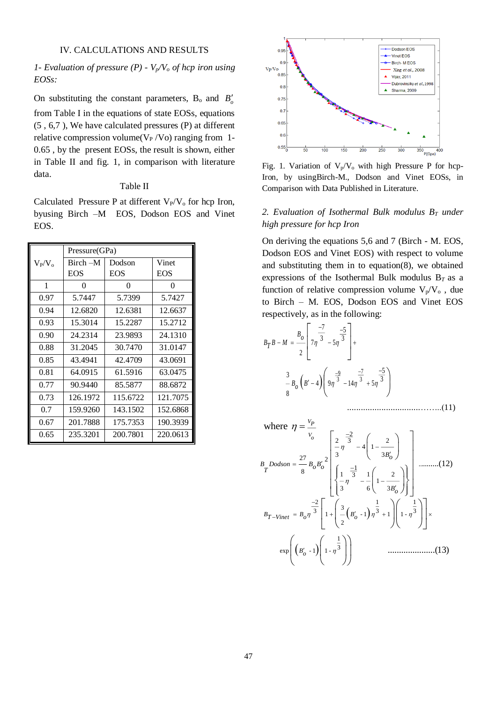# IV. CALCULATIONS AND RESULTS

# *1- Evaluation of pressure (P) - Vp/V<sup>o</sup> of hcp iron using EOSs:*

On substituting the constant parameters,  $B_0$  and  $B'_0$ from Table I in the equations of state EOSs, equations (5 , 6,7 ), We have calculated pressures (P) at different relative compression volume( $V_P/V_O$ ) ranging from 1-0.65 , by the present EOSs, the result is shown, either in Table II and fig. 1, in comparison with literature data.

#### Table II

Calculated Pressure P at different  $V_P/V_o$  for hcp Iron, byusing Birch –M EOS, Dodson EOS and Vinet EOS.

|           |               |            |            | $\ldots$ $\ldots$ , $\ldots$ $\ldots$                                                   |
|-----------|---------------|------------|------------|-----------------------------------------------------------------------------------------|
|           | Pressure(GPa) |            |            | Dodson EOS and Vinet                                                                    |
| $V_P/V_o$ | Birch -M      | Dodson     | Vinet      | and substituting them in                                                                |
|           | <b>EOS</b>    | <b>EOS</b> | <b>EOS</b> | expressions of the Isoth                                                                |
| 1         | $\Omega$      | $\Omega$   | $\Omega$   | function of relative com                                                                |
| 0.97      | 5.7447        | 5.7399     | 5.7427     | to Birch $-$ M. EOS, $\Gamma$                                                           |
| 0.94      | 12.6820       | 12.6381    | 12.6637    | respectively, as in the fol                                                             |
| 0.93      | 15.3014       | 15.2287    | 15.2712    |                                                                                         |
| 0.90      | 24.2314       | 23.9893    | 24.1310    |                                                                                         |
| 0.88      | 31.2045       | 30.7470    | 31.0147    | $B_T B - M = \frac{B_o}{2} \left[ 7\eta \frac{-7}{3} - 5\eta \frac{-5}{3} \right]$      |
| 0.85      | 43.4941       | 42.4709    | 43.0691    |                                                                                         |
| 0.81      | 64.0915       | 61.5916    | 63.0475    |                                                                                         |
| 0.77      | 90.9440       | 85.5877    | 88.6872    | $\frac{3}{8}$ $B_0$ $\left(B'-4\right)$ $\left(9\frac{9}{8}\right)^{\frac{9}{3}}$ $-14$ |
| 0.73      | 126.1972      | 115.6722   | 121.7075   |                                                                                         |
| 0.7       | 159.9260      | 143.1502   | 152.6868   |                                                                                         |
| 0.67      | 201.7888      | 175.7353   | 190.3939   |                                                                                         |
| 0.65      | 235.3201      | 200.7801   | 220.0613   | where $\eta = \frac{V_P}{V_o}$                                                          |



Fig. 1. Variation of  $V_p/V_o$  with high Pressure P for hcp-Iron, by usingBirch-M., Dodson and Vinet EOSs, in Comparison with Data Published in Literature.

# *2. Evaluation of Isothermal Bulk modulus B<sup>T</sup> under high pressure for hcp Iron*

On deriving the equations 5,6 and 7 (Birch - M. EOS, Dodson EOS and Vinet EOS) with respect to volume and substituting them in to equation(8), we obtained expressions of the Isothermal Bulk modulus B*T* as a function of relative compression volume  $V_p/V_o$ , due to Birch – M. EOS, Dodson EOS and Vinet EOS respectively, as in the following:

 <sup>7</sup> 9 3 3 <sup>7</sup> <sup>5</sup> <sup>3</sup> <sup>3</sup> <sup>7</sup> <sup>5</sup> 2 5 3 3 4 9 14 5 8 *Bo <sup>B</sup> <sup>B</sup> <sup>M</sup> <sup>T</sup> <sup>B</sup> <sup>B</sup> <sup>o</sup>* ................................……..(11) where *VP Vo* 2 1 1 3 <sup>3</sup> <sup>3</sup> <sup>3</sup> <sup>1</sup> - <sup>1</sup> <sup>1</sup> <sup>1</sup> - 2 1 3 exp - <sup>1</sup> <sup>1</sup> - .....................(13) *<sup>B</sup> <sup>B</sup> <sup>B</sup> <sup>T</sup> Vinet <sup>o</sup> <sup>o</sup> Bo* 2 2 3 4 1 <sup>3</sup> <sup>3</sup> <sup>27</sup> <sup>2</sup> .. 1 8 1 1 2 3 1 3 6 3 ........(12) *Bo <sup>B</sup> Dodson <sup>B</sup> Bo <sup>o</sup> <sup>T</sup> Bo*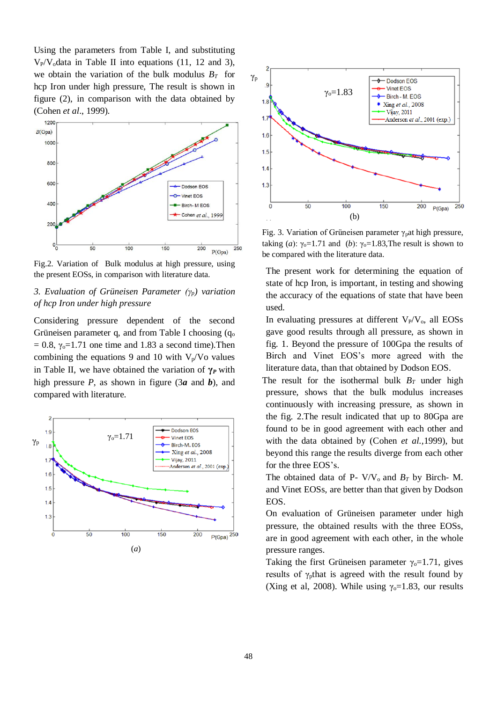Using the parameters from Table I, and substituting  $V_P/V_o$  data in Table II into equations (11, 12 and 3), we obtain the variation of the bulk modulus  $B_T$  for hcp Iron under high pressure, The result is shown in figure (2), in comparison with the data obtained by (Cohen *et al*., 1999).



Fig.2. Variation of Bulk modulus at high pressure, using the present EOSs, in comparison with literature data.

# *3. Evaluation of Grüneisen Parameter (γp) variation of hcp Iron under high pressure*

Considering pressure dependent of the second Grüneisen parameter q, and from Table I choosing  $(q_0)$  $= 0.8$ ,  $\gamma_0 = 1.71$  one time and 1.83 a second time). Then combining the equations 9 and 10 with  $V_p/V_o$  values in Table II, we have obtained the variation of  $\gamma_P$  with high pressure *P*, as shown in figure (3*a* and *b*), and compared with literature.





Fig. 3. Variation of Grüneisen parameter  $\gamma$ <sub>p</sub>at high pressure, taking (*a*):  $\gamma_0 = 1.71$  and (*b*):  $\gamma_0 = 1.83$ , The result is shown to be compared with the literature data.

The present work for determining the equation of state of hcp Iron, is important, in testing and showing the accuracy of the equations of state that have been used.

In evaluating pressures at different  $V_P/V_o$ , all EOSs gave good results through all pressure, as shown in fig. 1. Beyond the pressure of 100Gpa the results of Birch and Vinet EOS's more agreed with the literature data, than that obtained by Dodson EOS.

The result for the isothermal bulk  $B_T$  under high pressure, shows that the bulk modulus increases continuously with increasing pressure, as shown in the fig. 2.The result indicated that up to 80Gpa are found to be in good agreement with each other and with the data obtained by (Cohen *et al.,*1999), but beyond this range the results diverge from each other for the three EOS's.

The obtained data of P-  $V/V_0$  and  $B_T$  by Birch- M. and Vinet EOSs, are better than that given by Dodson EOS.

On evaluation of Grüneisen parameter under high pressure, the obtained results with the three EOSs, are in good agreement with each other, in the whole pressure ranges.

Taking the first Grüneisen parameter  $\gamma_0 = 1.71$ , gives results of  $\gamma$ <sub>p</sub>that is agreed with the result found by (Xing et al, 2008). While using  $\gamma_0 = 1.83$ , our results